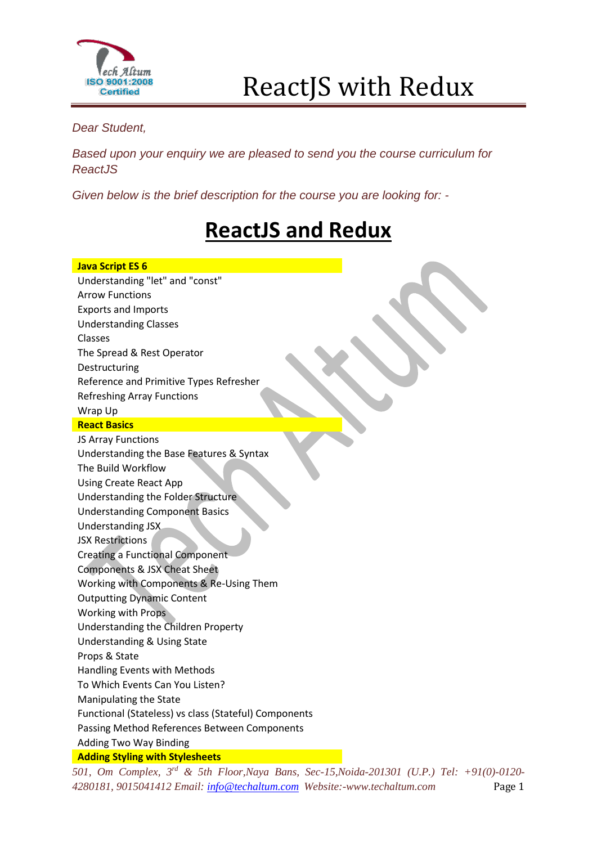

*Dear Student,*

*Based upon your enquiry we are pleased to send you the course curriculum for ReactJS*

*Given below is the brief description for the course you are looking for: -*

### **ReactJS and Redux**

| <b>Java Script ES 6</b>                                         |
|-----------------------------------------------------------------|
| Understanding "let" and "const"                                 |
| <b>Arrow Functions</b>                                          |
| <b>Exports and Imports</b>                                      |
| <b>Understanding Classes</b>                                    |
| <b>Classes</b>                                                  |
| The Spread & Rest Operator                                      |
| Destructuring                                                   |
| Reference and Primitive Types Refresher                         |
| <b>Refreshing Array Functions</b>                               |
| Wrap Up                                                         |
| <b>React Basics</b>                                             |
| JS Array Functions                                              |
| Understanding the Base Features & Syntax                        |
| The Build Workflow                                              |
| <b>Using Create React App</b>                                   |
| Understanding the Folder Structure                              |
| <b>Understanding Component Basics</b>                           |
| Understanding JSX                                               |
| <b>JSX Restrictions</b>                                         |
| <b>Creating a Functional Component</b>                          |
| Components & JSX Cheat Sheet                                    |
| Working with Components & Re-Using Them                         |
| <b>Outputting Dynamic Content</b>                               |
| <b>Working with Props</b>                                       |
| Understanding the Children Property                             |
| <b>Understanding &amp; Using State</b>                          |
| Props & State                                                   |
| Handling Events with Methods                                    |
| To Which Events Can You Listen?                                 |
| Manipulating the State                                          |
| Functional (Stateless) vs class (Stateful) Components           |
| Passing Method References Between Components                    |
| Adding Two Way Binding                                          |
| <b>Adding Styling with Stylesheets</b><br>$\alpha r d = \alpha$ |

*501, Om Complex, 3 rd & 5th Floor,Naya Bans, Sec-15,Noida-201301 (U.P.) Tel: +91(0)-0120- 4280181, 9015041412 Email: [info@techaltum.com](mailto:info@techaltum.com) Website:-www.techaltum.com* Page 1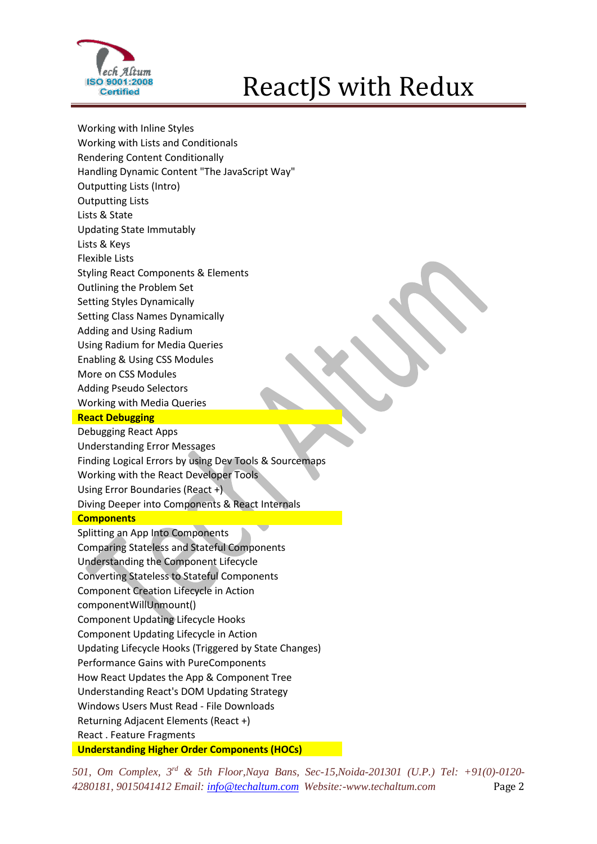

Working with Inline Styles Working with Lists and Conditionals Rendering Content Conditionally Handling Dynamic Content "The JavaScript Way" Outputting Lists (Intro) Outputting Lists Lists & State Updating State Immutably Lists & Keys Flexible Lists Styling React Components & Elements Outlining the Problem Set Setting Styles Dynamically Setting Class Names Dynamically Adding and Using Radium Using Radium for Media Queries Enabling & Using CSS Modules More on CSS Modules Adding Pseudo Selectors Working with Media Queries **React Debugging** Debugging React Apps Understanding Error Messages Finding Logical Errors by using Dev Tools & Sourcemaps Working with the React Developer Tools Using Error Boundaries (React +) Diving Deeper into Components & React Internals **Components** Splitting an App Into Components Comparing Stateless and Stateful Components Understanding the Component Lifecycle Converting Stateless to Stateful Components Component Creation Lifecycle in Action componentWillUnmount() Component Updating Lifecycle Hooks Component Updating Lifecycle in Action Updating Lifecycle Hooks (Triggered by State Changes) Performance Gains with PureComponents How React Updates the App & Component Tree Understanding React's DOM Updating Strategy Windows Users Must Read - File Downloads Returning Adjacent Elements (React +) React . Feature Fragments **Understanding Higher Order Components (HOCs)** 

*501, Om Complex, 3 rd & 5th Floor,Naya Bans, Sec-15,Noida-201301 (U.P.) Tel: +91(0)-0120- 4280181, 9015041412 Email: [info@techaltum.com](mailto:info@techaltum.com) Website:-www.techaltum.com* Page 2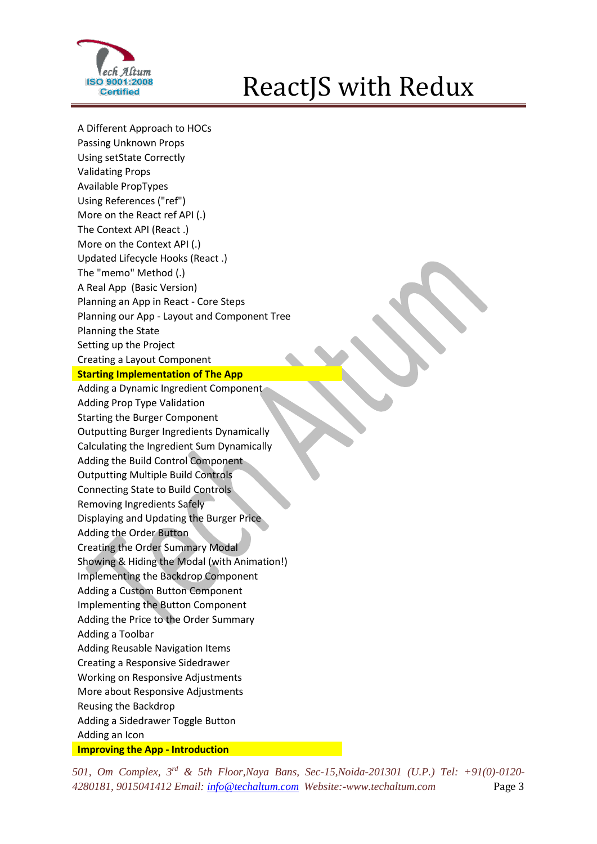

A Different Approach to HOCs Passing Unknown Props Using setState Correctly Validating Props Available PropTypes Using References ("ref") More on the React ref API (.) The Context API (React .) More on the Context API (.) Updated Lifecycle Hooks (React .) The "memo" Method (.) A Real App (Basic Version) Planning an App in React - Core Steps Planning our App - Layout and Component Tree Planning the State Setting up the Project Creating a Layout Component **Starting Implementation of The App** Adding a Dynamic Ingredient Component Adding Prop Type Validation Starting the Burger Component Outputting Burger Ingredients Dynamically Calculating the Ingredient Sum Dynamically Adding the Build Control Component Outputting Multiple Build Controls Connecting State to Build Controls Removing Ingredients Safely Displaying and Updating the Burger Price Adding the Order Button Creating the Order Summary Modal Showing & Hiding the Modal (with Animation!) Implementing the Backdrop Component Adding a Custom Button Component Implementing the Button Component Adding the Price to the Order Summary Adding a Toolbar Adding Reusable Navigation Items Creating a Responsive Sidedrawer Working on Responsive Adjustments More about Responsive Adjustments Reusing the Backdrop Adding a Sidedrawer Toggle Button Adding an Icon **Improving the App - Introduction** 

*501, Om Complex, 3 rd & 5th Floor,Naya Bans, Sec-15,Noida-201301 (U.P.) Tel: +91(0)-0120- 4280181, 9015041412 Email: [info@techaltum.com](mailto:info@techaltum.com) Website:-www.techaltum.com* Page 3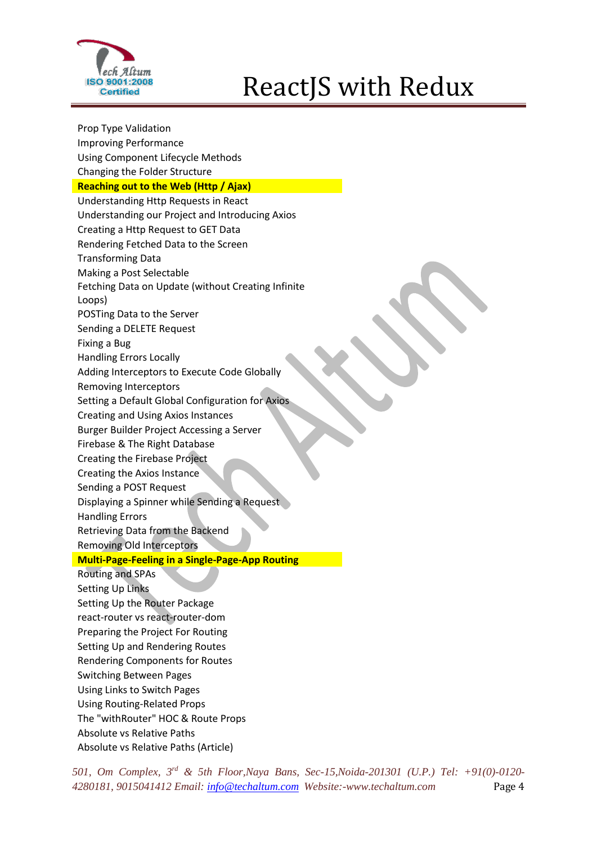

Prop Type Validation Improving Performance Using Component Lifecycle Methods Changing the Folder Structure **Reaching out to the Web (Http / Ajax)** Understanding Http Requests in React Understanding our Project and Introducing Axios Creating a Http Request to GET Data Rendering Fetched Data to the Screen Transforming Data Making a Post Selectable Fetching Data on Update (without Creating Infinite Loops) POSTing Data to the Server Sending a DELETE Request Fixing a Bug Handling Errors Locally Adding Interceptors to Execute Code Globally Removing Interceptors Setting a Default Global Configuration for Axios Creating and Using Axios Instances Burger Builder Project Accessing a Server Firebase & The Right Database Creating the Firebase Project Creating the Axios Instance Sending a POST Request Displaying a Spinner while Sending a Request Handling Errors Retrieving Data from the Backend Removing Old Interceptors **Multi-Page-Feeling in a Single-Page-App Routing** Routing and SPAs Setting Up Links Setting Up the Router Package react-router vs react-router-dom Preparing the Project For Routing Setting Up and Rendering Routes Rendering Components for Routes Switching Between Pages Using Links to Switch Pages Using Routing-Related Props The "withRouter" HOC & Route Props Absolute vs Relative Paths Absolute vs Relative Paths (Article)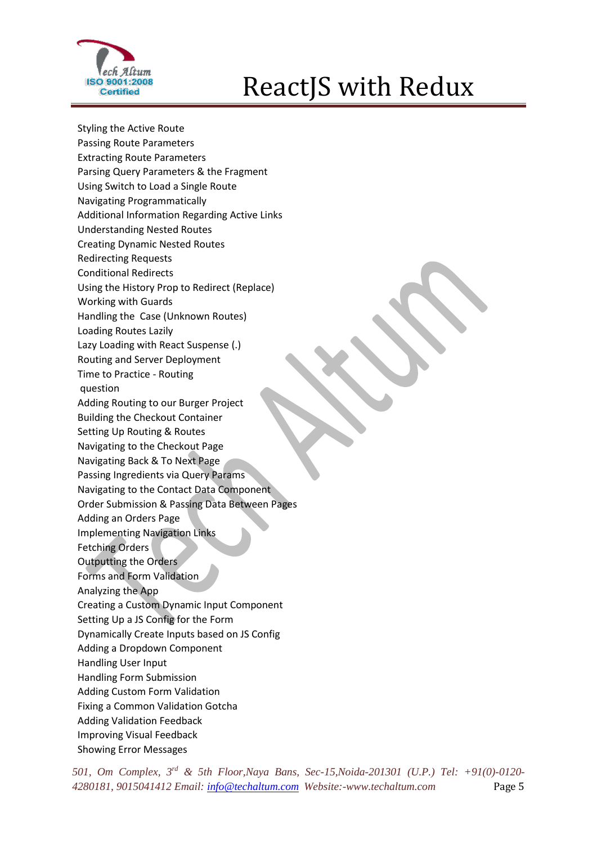

Styling the Active Route Passing Route Parameters Extracting Route Parameters Parsing Query Parameters & the Fragment Using Switch to Load a Single Route Navigating Programmatically Additional Information Regarding Active Links Understanding Nested Routes Creating Dynamic Nested Routes Redirecting Requests Conditional Redirects Using the History Prop to Redirect (Replace) Working with Guards Handling the Case (Unknown Routes) Loading Routes Lazily Lazy Loading with React Suspense (.) Routing and Server Deployment Time to Practice - Routing question Adding Routing to our Burger Project Building the Checkout Container Setting Up Routing & Routes Navigating to the Checkout Page Navigating Back & To Next Page Passing Ingredients via Query Params Navigating to the Contact Data Component Order Submission & Passing Data Between Pages Adding an Orders Page Implementing Navigation Links Fetching Orders Outputting the Orders Forms and Form Validation Analyzing the App Creating a Custom Dynamic Input Component Setting Up a JS Config for the Form Dynamically Create Inputs based on JS Config Adding a Dropdown Component Handling User Input Handling Form Submission Adding Custom Form Validation Fixing a Common Validation Gotcha Adding Validation Feedback Improving Visual Feedback Showing Error Messages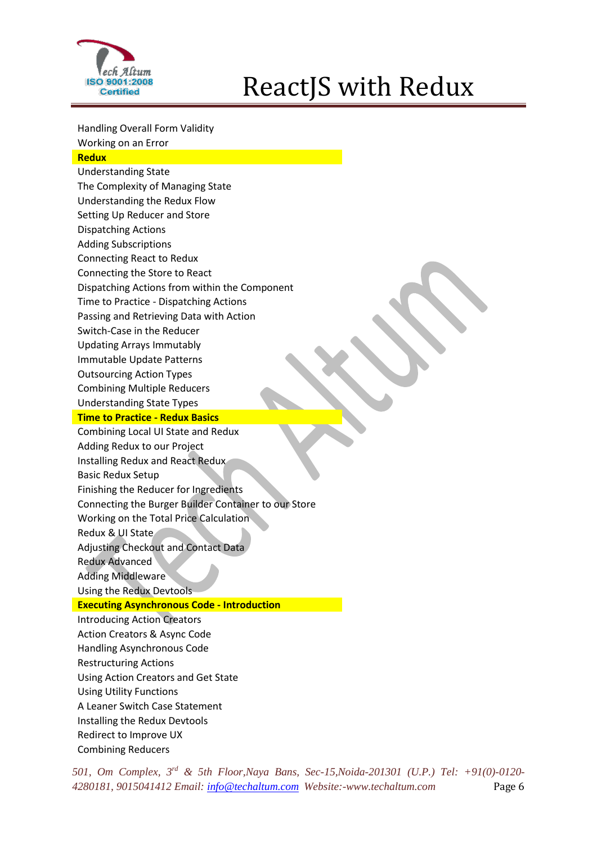

Handling Overall Form Validity Working on an Error

#### **Redux**

Understanding State The Complexity of Managing State Understanding the Redux Flow Setting Up Reducer and Store Dispatching Actions Adding Subscriptions Connecting React to Redux Connecting the Store to React Dispatching Actions from within the Component Time to Practice - Dispatching Actions Passing and Retrieving Data with Action Switch-Case in the Reducer Updating Arrays Immutably Immutable Update Patterns Outsourcing Action Types Combining Multiple Reducers Understanding State Types **Time to Practice - Redux Basics**  Combining Local UI State and Redux Adding Redux to our Project Installing Redux and React Redux Basic Redux Setup Finishing the Reducer for Ingredients Connecting the Burger Builder Container to our Store Working on the Total Price Calculation Redux & UI State Adjusting Checkout and Contact Data Redux Advanced Adding Middleware Using the Redux Devtools **Executing Asynchronous Code - Introduction**  Introducing Action Creators Action Creators & Async Code Handling Asynchronous Code Restructuring Actions Using Action Creators and Get State Using Utility Functions A Leaner Switch Case Statement Installing the Redux Devtools Redirect to Improve UX Combining Reducers